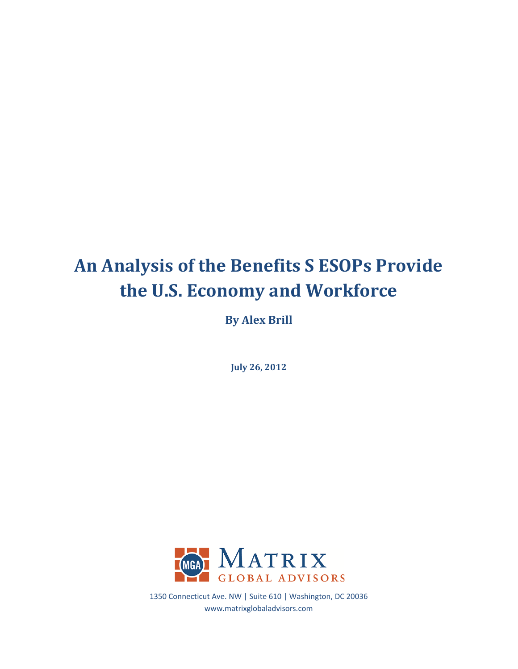# **An Analysis of the Benefits S ESOPs Provide the U.S. Economy and Workforce**

**By Alex Brill**

**July 26, 2012**



1350 Connecticut Ave. NW | Suite 610 | Washington, DC 20036 www.matrixglobaladvisors.com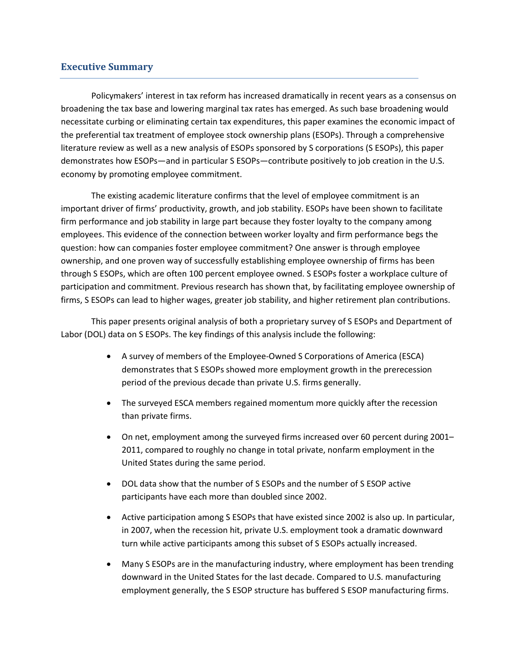# **Executive Summary**

Policymakers' interest in tax reform has increased dramatically in recent years as a consensus on broadening the tax base and lowering marginal tax rates has emerged. As such base broadening would necessitate curbing or eliminating certain tax expenditures, this paper examines the economic impact of the preferential tax treatment of employee stock ownership plans (ESOPs). Through a comprehensive literature review as well as a new analysis of ESOPs sponsored by S corporations (S ESOPs), this paper demonstrates how ESOPs—and in particular S ESOPs—contribute positively to job creation in the U.S. economy by promoting employee commitment.

The existing academic literature confirms that the level of employee commitment is an important driver of firms' productivity, growth, and job stability. ESOPs have been shown to facilitate firm performance and job stability in large part because they foster loyalty to the company among employees. This evidence of the connection between worker loyalty and firm performance begs the question: how can companies foster employee commitment? One answer is through employee ownership, and one proven way of successfully establishing employee ownership of firms has been through S ESOPs, which are often 100 percent employee owned. S ESOPs foster a workplace culture of participation and commitment. Previous research has shown that, by facilitating employee ownership of firms, S ESOPs can lead to higher wages, greater job stability, and higher retirement plan contributions.

This paper presents original analysis of both a proprietary survey of S ESOPs and Department of Labor (DOL) data on S ESOPs. The key findings of this analysis include the following:

- A survey of members of the Employee-Owned S Corporations of America (ESCA) demonstrates that S ESOPs showed more employment growth in the prerecession period of the previous decade than private U.S. firms generally.
- The surveyed ESCA members regained momentum more quickly after the recession than private firms.
- On net, employment among the surveyed firms increased over 60 percent during 2001– 2011, compared to roughly no change in total private, nonfarm employment in the United States during the same period.
- DOL data show that the number of S ESOPs and the number of S ESOP active participants have each more than doubled since 2002.
- Active participation among S ESOPs that have existed since 2002 is also up. In particular, in 2007, when the recession hit, private U.S. employment took a dramatic downward turn while active participants among this subset of S ESOPs actually increased.
- Many S ESOPs are in the manufacturing industry, where employment has been trending downward in the United States for the last decade. Compared to U.S. manufacturing employment generally, the S ESOP structure has buffered S ESOP manufacturing firms.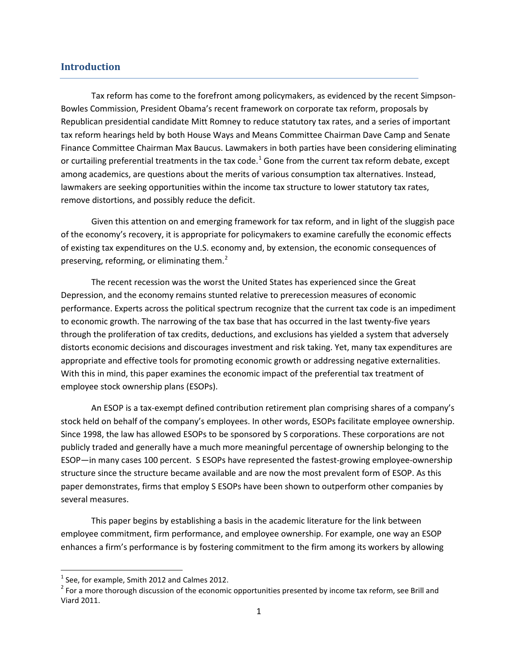# **Introduction**

Tax reform has come to the forefront among policymakers, as evidenced by the recent Simpson-Bowles Commission, President Obama's recent framework on corporate tax reform, proposals by Republican presidential candidate Mitt Romney to reduce statutory tax rates, and a series of important tax reform hearings held by both House Ways and Means Committee Chairman Dave Camp and Senate Finance Committee Chairman Max Baucus. Lawmakers in both parties have been considering eliminating or curtailing preferential treatments in the tax code.<sup>[1](#page-2-0)</sup> Gone from the current tax reform debate, except among academics, are questions about the merits of various consumption tax alternatives. Instead, lawmakers are seeking opportunities within the income tax structure to lower statutory tax rates, remove distortions, and possibly reduce the deficit.

Given this attention on and emerging framework for tax reform, and in light of the sluggish pace of the economy's recovery, it is appropriate for policymakers to examine carefully the economic effects of existing tax expenditures on the U.S. economy and, by extension, the economic consequences of preserving, reforming, or eliminating them.<sup>[2](#page-2-1)</sup>

The recent recession was the worst the United States has experienced since the Great Depression, and the economy remains stunted relative to prerecession measures of economic performance. Experts across the political spectrum recognize that the current tax code is an impediment to economic growth. The narrowing of the tax base that has occurred in the last twenty-five years through the proliferation of tax credits, deductions, and exclusions has yielded a system that adversely distorts economic decisions and discourages investment and risk taking. Yet, many tax expenditures are appropriate and effective tools for promoting economic growth or addressing negative externalities. With this in mind, this paper examines the economic impact of the preferential tax treatment of employee stock ownership plans (ESOPs).

An ESOP is a tax-exempt defined contribution retirement plan comprising shares of a company's stock held on behalf of the company's employees. In other words, ESOPs facilitate employee ownership. Since 1998, the law has allowed ESOPs to be sponsored by S corporations. These corporations are not publicly traded and generally have a much more meaningful percentage of ownership belonging to the ESOP—in many cases 100 percent. S ESOPs have represented the fastest-growing employee-ownership structure since the structure became available and are now the most prevalent form of ESOP. As this paper demonstrates, firms that employ S ESOPs have been shown to outperform other companies by several measures.

This paper begins by establishing a basis in the academic literature for the link between employee commitment, firm performance, and employee ownership. For example, one way an ESOP enhances a firm's performance is by fostering commitment to the firm among its workers by allowing

<span id="page-2-1"></span><span id="page-2-0"></span><sup>&</sup>lt;sup>1</sup> See, for example, Smith 2012 and Calmes 2012.<br><sup>2</sup> For a more thorough discussion of the economic opportunities presented by income tax reform, see Brill and Viard 2011.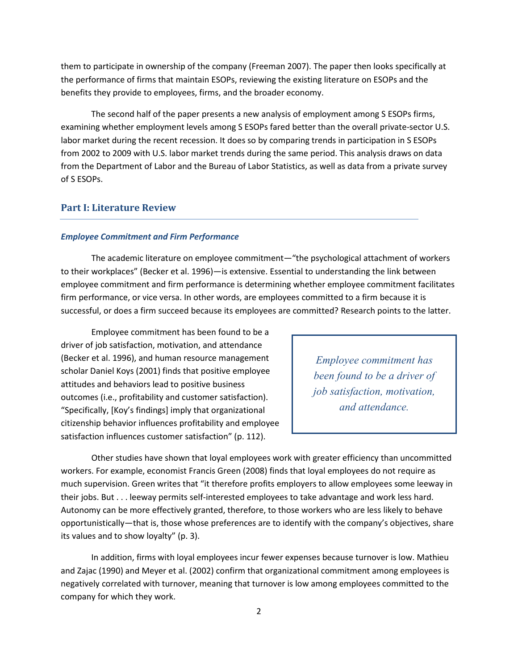them to participate in ownership of the company (Freeman 2007). The paper then looks specifically at the performance of firms that maintain ESOPs, reviewing the existing literature on ESOPs and the benefits they provide to employees, firms, and the broader economy.

The second half of the paper presents a new analysis of employment among S ESOPs firms, examining whether employment levels among S ESOPs fared better than the overall private-sector U.S. labor market during the recent recession. It does so by comparing trends in participation in S ESOPs from 2002 to 2009 with U.S. labor market trends during the same period. This analysis draws on data from the Department of Labor and the Bureau of Labor Statistics, as well as data from a private survey of S ESOPs.

# **Part I: Literature Review**

## *Employee Commitment and Firm Performance*

The academic literature on employee commitment—"the psychological attachment of workers to their workplaces" (Becker et al. 1996)—is extensive. Essential to understanding the link between employee commitment and firm performance is determining whether employee commitment facilitates firm performance, or vice versa. In other words, are employees committed to a firm because it is successful, or does a firm succeed because its employees are committed? Research points to the latter.

Employee commitment has been found to be a driver of job satisfaction, motivation, and attendance (Becker et al. 1996), and human resource management scholar Daniel Koys (2001) finds that positive employee attitudes and behaviors lead to positive business outcomes (i.e., profitability and customer satisfaction). "Specifically, [Koy's findings] imply that organizational citizenship behavior influences profitability and employee satisfaction influences customer satisfaction" (p. 112).

*Employee commitment has been found to be a driver of job satisfaction, motivation, and attendance.*

Other studies have shown that loyal employees work with greater efficiency than uncommitted workers. For example, economist Francis Green (2008) finds that loyal employees do not require as much supervision. Green writes that "it therefore profits employers to allow employees some leeway in their jobs. But . . . leeway permits self-interested employees to take advantage and work less hard. Autonomy can be more effectively granted, therefore, to those workers who are less likely to behave opportunistically—that is, those whose preferences are to identify with the company's objectives, share its values and to show loyalty" (p. 3).

In addition, firms with loyal employees incur fewer expenses because turnover is low. Mathieu and Zajac (1990) and Meyer et al. (2002) confirm that organizational commitment among employees is negatively correlated with turnover, meaning that turnover is low among employees committed to the company for which they work.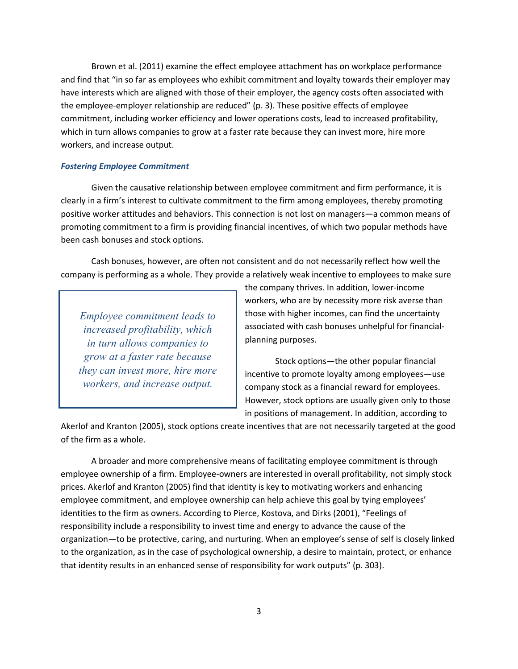Brown et al. (2011) examine the effect employee attachment has on workplace performance and find that "in so far as employees who exhibit commitment and loyalty towards their employer may have interests which are aligned with those of their employer, the agency costs often associated with the employee-employer relationship are reduced" (p. 3). These positive effects of employee commitment, including worker efficiency and lower operations costs, lead to increased profitability, which in turn allows companies to grow at a faster rate because they can invest more, hire more workers, and increase output.

## *Fostering Employee Commitment*

Given the causative relationship between employee commitment and firm performance, it is clearly in a firm's interest to cultivate commitment to the firm among employees, thereby promoting positive worker attitudes and behaviors. This connection is not lost on managers—a common means of promoting commitment to a firm is providing financial incentives, of which two popular methods have been cash bonuses and stock options.

Cash bonuses, however, are often not consistent and do not necessarily reflect how well the company is performing as a whole. They provide a relatively weak incentive to employees to make sure

*Employee commitment leads to increased profitability, which in turn allows companies to grow at a faster rate because they can invest more, hire more workers, and increase output.*

the company thrives. In addition, lower-income workers, who are by necessity more risk averse than those with higher incomes, can find the uncertainty associated with cash bonuses unhelpful for financialplanning purposes.

Stock options—the other popular financial incentive to promote loyalty among employees—use company stock as a financial reward for employees. However, stock options are usually given only to those in positions of management. In addition, according to

Akerlof and Kranton (2005), stock options create incentives that are not necessarily targeted at the good of the firm as a whole.

A broader and more comprehensive means of facilitating employee commitment is through employee ownership of a firm. Employee-owners are interested in overall profitability, not simply stock prices. Akerlof and Kranton (2005) find that identity is key to motivating workers and enhancing employee commitment, and employee ownership can help achieve this goal by tying employees' identities to the firm as owners. According to Pierce, Kostova, and Dirks (2001), "Feelings of responsibility include a responsibility to invest time and energy to advance the cause of the organization—to be protective, caring, and nurturing. When an employee's sense of self is closely linked to the organization, as in the case of psychological ownership, a desire to maintain, protect, or enhance that identity results in an enhanced sense of responsibility for work outputs" (p. 303).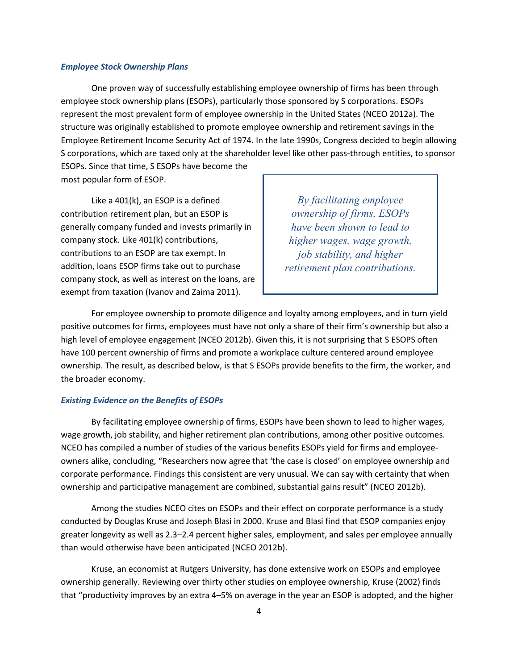#### *Employee Stock Ownership Plans*

One proven way of successfully establishing employee ownership of firms has been through employee stock ownership plans (ESOPs), particularly those sponsored by S corporations. ESOPs represent the most prevalent form of employee ownership in the United States (NCEO 2012a). The structure was originally established to promote employee ownership and retirement savings in the Employee Retirement Income Security Act of 1974. In the late 1990s, Congress decided to begin allowing S corporations, which are taxed only at the shareholder level like other pass-through entities, to sponsor ESOPs. Since that time, S ESOPs have become the

most popular form of ESOP.

Like a 401(k), an ESOP is a defined contribution retirement plan, but an ESOP is generally company funded and invests primarily in company stock. Like 401(k) contributions, contributions to an ESOP are tax exempt. In addition, loans ESOP firms take out to purchase company stock, as well as interest on the loans, are exempt from taxation (Ivanov and Zaima 2011).

*By facilitating employee ownership of firms, ESOPs have been shown to lead to higher wages, wage growth, job stability, and higher retirement plan contributions.*

For employee ownership to promote diligence and loyalty among employees, and in turn yield positive outcomes for firms, employees must have not only a share of their firm's ownership but also a high level of employee engagement (NCEO 2012b). Given this, it is not surprising that S ESOPS often have 100 percent ownership of firms and promote a workplace culture centered around employee ownership. The result, as described below, is that S ESOPs provide benefits to the firm, the worker, and the broader economy.

### *Existing Evidence on the Benefits of ESOPs*

By facilitating employee ownership of firms, ESOPs have been shown to lead to higher wages, wage growth, job stability, and higher retirement plan contributions, among other positive outcomes. NCEO has compiled a number of studies of the various benefits ESOPs yield for firms and employeeowners alike, concluding, "Researchers now agree that 'the case is closed' on employee ownership and corporate performance. Findings this consistent are very unusual. We can say with certainty that when ownership and participative management are combined, substantial gains result" (NCEO 2012b).

Among the studies NCEO cites on ESOPs and their effect on corporate performance is a study conducted by Douglas Kruse and Joseph Blasi in 2000. Kruse and Blasi find that ESOP companies enjoy greater longevity as well as 2.3–2.4 percent higher sales, employment, and sales per employee annually than would otherwise have been anticipated (NCEO 2012b).

Kruse, an economist at Rutgers University, has done extensive work on ESOPs and employee ownership generally. Reviewing over thirty other studies on employee ownership, Kruse (2002) finds that "productivity improves by an extra 4–5% on average in the year an ESOP is adopted, and the higher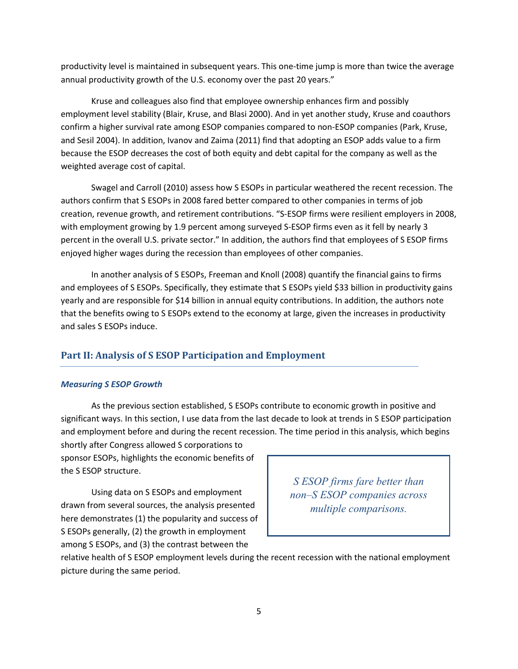productivity level is maintained in subsequent years. This one-time jump is more than twice the average annual productivity growth of the U.S. economy over the past 20 years."

Kruse and colleagues also find that employee ownership enhances firm and possibly employment level stability (Blair, Kruse, and Blasi 2000). And in yet another study, Kruse and coauthors confirm a higher survival rate among ESOP companies compared to non-ESOP companies (Park, Kruse, and Sesil 2004). In addition, Ivanov and Zaima (2011) find that adopting an ESOP adds value to a firm because the ESOP decreases the cost of both equity and debt capital for the company as well as the weighted average cost of capital.

Swagel and Carroll (2010) assess how S ESOPs in particular weathered the recent recession. The authors confirm that S ESOPs in 2008 fared better compared to other companies in terms of job creation, revenue growth, and retirement contributions. "S-ESOP firms were resilient employers in 2008, with employment growing by 1.9 percent among surveyed S-ESOP firms even as it fell by nearly 3 percent in the overall U.S. private sector." In addition, the authors find that employees of S ESOP firms enjoyed higher wages during the recession than employees of other companies.

In another analysis of S ESOPs, Freeman and Knoll (2008) quantify the financial gains to firms and employees of S ESOPs. Specifically, they estimate that S ESOPs yield \$33 billion in productivity gains yearly and are responsible for \$14 billion in annual equity contributions. In addition, the authors note that the benefits owing to S ESOPs extend to the economy at large, given the increases in productivity and sales S ESOPs induce.

# **Part II: Analysis of S ESOP Participation and Employment**

#### *Measuring S ESOP Growth*

As the previous section established, S ESOPs contribute to economic growth in positive and significant ways. In this section, I use data from the last decade to look at trends in S ESOP participation and employment before and during the recent recession. The time period in this analysis, which begins

shortly after Congress allowed S corporations to sponsor ESOPs, highlights the economic benefits of the S ESOP structure.

Using data on S ESOPs and employment drawn from several sources, the analysis presented here demonstrates (1) the popularity and success of S ESOPs generally, (2) the growth in employment among S ESOPs, and (3) the contrast between the

*S ESOP firms fare better than non–S ESOP companies across multiple comparisons.*

relative health of S ESOP employment levels during the recent recession with the national employment picture during the same period.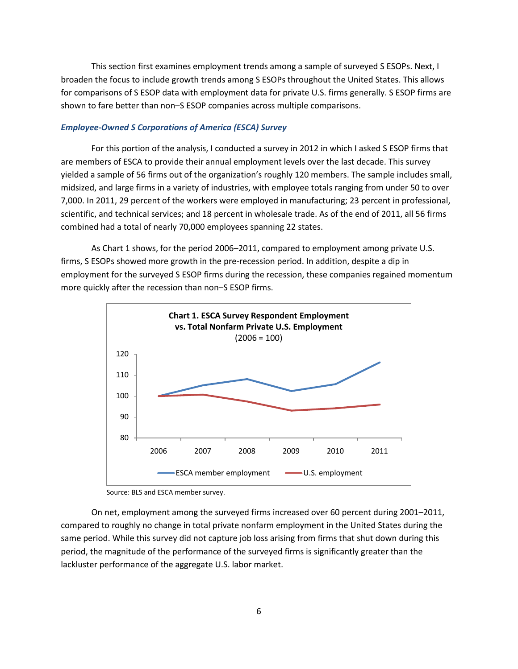This section first examines employment trends among a sample of surveyed S ESOPs. Next, I broaden the focus to include growth trends among S ESOPs throughout the United States. This allows for comparisons of S ESOP data with employment data for private U.S. firms generally. S ESOP firms are shown to fare better than non–S ESOP companies across multiple comparisons.

## *Employee-Owned S Corporations of America (ESCA) Survey*

For this portion of the analysis, I conducted a survey in 2012 in which I asked S ESOP firms that are members of ESCA to provide their annual employment levels over the last decade. This survey yielded a sample of 56 firms out of the organization's roughly 120 members. The sample includes small, midsized, and large firms in a variety of industries, with employee totals ranging from under 50 to over 7,000. In 2011, 29 percent of the workers were employed in manufacturing; 23 percent in professional, scientific, and technical services; and 18 percent in wholesale trade. As of the end of 2011, all 56 firms combined had a total of nearly 70,000 employees spanning 22 states.

As Chart 1 shows, for the period 2006–2011, compared to employment among private U.S. firms, S ESOPs showed more growth in the pre-recession period. In addition, despite a dip in employment for the surveyed S ESOP firms during the recession, these companies regained momentum more quickly after the recession than non–S ESOP firms.



Source: BLS and ESCA member survey.

On net, employment among the surveyed firms increased over 60 percent during 2001–2011, compared to roughly no change in total private nonfarm employment in the United States during the same period. While this survey did not capture job loss arising from firms that shut down during this period, the magnitude of the performance of the surveyed firms is significantly greater than the lackluster performance of the aggregate U.S. labor market.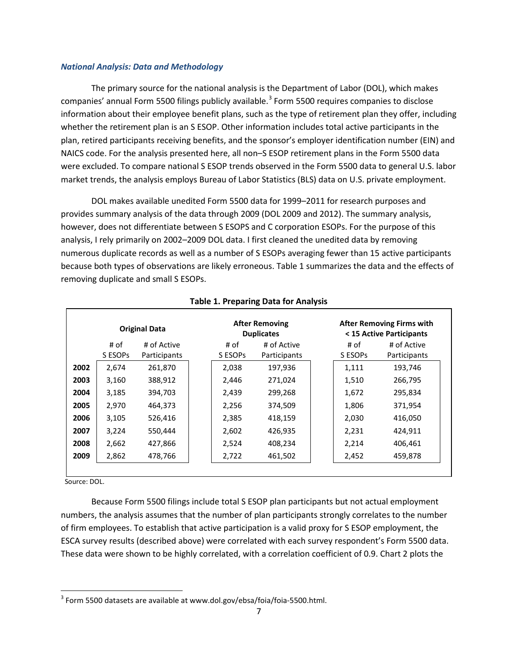#### *National Analysis: Data and Methodology*

The primary source for the national analysis is the Department of Labor (DOL), which makes companies' annual Form 5500 filings publicly available.<sup>[3](#page-8-0)</sup> Form 5500 requires companies to disclose information about their employee benefit plans, such as the type of retirement plan they offer, including whether the retirement plan is an S ESOP. Other information includes total active participants in the plan, retired participants receiving benefits, and the sponsor's employer identification number (EIN) and NAICS code. For the analysis presented here, all non–S ESOP retirement plans in the Form 5500 data were excluded. To compare national S ESOP trends observed in the Form 5500 data to general U.S. labor market trends, the analysis employs Bureau of Labor Statistics (BLS) data on U.S. private employment.

DOL makes available unedited Form 5500 data for 1999–2011 for research purposes and provides summary analysis of the data through 2009 (DOL 2009 and 2012). The summary analysis, however, does not differentiate between S ESOPS and C corporation ESOPs. For the purpose of this analysis, I rely primarily on 2002–2009 DOL data. I first cleaned the unedited data by removing numerous duplicate records as well as a number of S ESOPs averaging fewer than 15 active participants because both types of observations are likely erroneous. Table 1 summarizes the data and the effects of removing duplicate and small S ESOPs.

|      | <b>Original Data</b> |              | <b>After Removing</b><br><b>Duplicates</b> |              |  | <b>After Removing Firms with</b><br>< 15 Active Participants |              |  |
|------|----------------------|--------------|--------------------------------------------|--------------|--|--------------------------------------------------------------|--------------|--|
|      | # of                 | # of Active  | # of                                       | # of Active  |  | # of                                                         | # of Active  |  |
|      | S ESOPS              | Participants | S ESOPS                                    | Participants |  | S ESOPS                                                      | Participants |  |
| 2002 | 2,674                | 261,870      | 2,038                                      | 197,936      |  | 1,111                                                        | 193,746      |  |
| 2003 | 3,160                | 388,912      | 2,446                                      | 271,024      |  | 1,510                                                        | 266,795      |  |
| 2004 | 3,185                | 394,703      | 2,439                                      | 299,268      |  | 1,672                                                        | 295,834      |  |
| 2005 | 2,970                | 464,373      | 2,256                                      | 374,509      |  | 1,806                                                        | 371,954      |  |
| 2006 | 3,105                | 526,416      | 2,385                                      | 418,159      |  | 2,030                                                        | 416,050      |  |
| 2007 | 3,224                | 550,444      | 2,602                                      | 426,935      |  | 2,231                                                        | 424,911      |  |
| 2008 | 2,662                | 427,866      | 2,524                                      | 408,234      |  | 2,214                                                        | 406,461      |  |
| 2009 | 2,862                | 478,766      | 2,722                                      | 461,502      |  | 2,452                                                        | 459,878      |  |

## **Table 1. Preparing Data for Analysis**

Source: DOL.

Because Form 5500 filings include total S ESOP plan participants but not actual employment numbers, the analysis assumes that the number of plan participants strongly correlates to the number of firm employees. To establish that active participation is a valid proxy for S ESOP employment, the ESCA survey results (described above) were correlated with each survey respondent's Form 5500 data. These data were shown to be highly correlated, with a correlation coefficient of 0.9. Chart 2 plots the

<span id="page-8-0"></span><sup>&</sup>lt;sup>3</sup> Form 5500 datasets are available at www.dol.gov/ebsa/foia/foia-5500.html.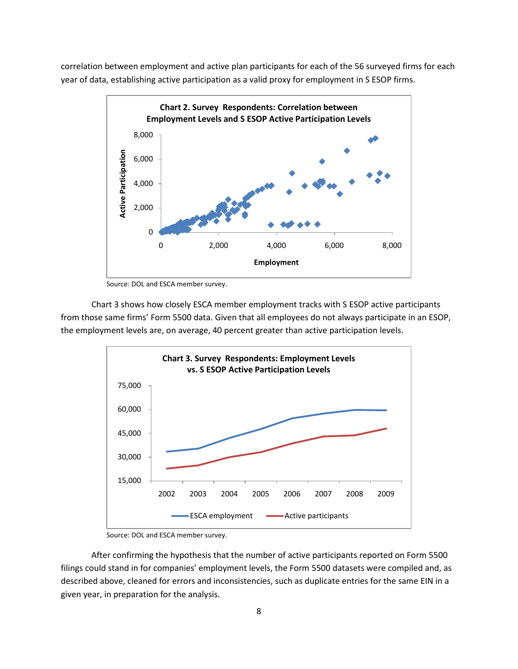correlation between employment and active plan participants for each of the 56 surveyed firms for each year of data, establishing active participation as a valid proxy for employment in S ESOP firms.



Source: DOL and ESCA member survey.

Chart 3 shows how closely ESCA member employment tracks with S ESOP active participants from those same firms' Form 5500 data. Given that all employees do not always participate in an ESOP, the employment levels are, on average, 40 percent greater than active participation levels.



Source: DOL and ESCA member survey.

After confirming the hypothesis that the number of active participants reported on Form 5500 filings could stand in for companies' employment levels, the Form 5500 datasets were compiled and, as described above, cleaned for errors and inconsistencies, such as duplicate entries for the same EIN in a given year, in preparation for the analysis.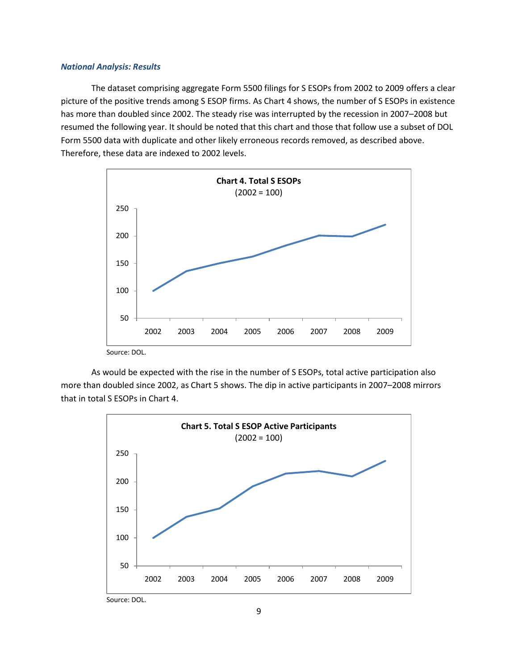## *National Analysis: Results*

The dataset comprising aggregate Form 5500 filings for S ESOPs from 2002 to 2009 offers a clear picture of the positive trends among S ESOP firms. As Chart 4 shows, the number of S ESOPs in existence has more than doubled since 2002. The steady rise was interrupted by the recession in 2007–2008 but resumed the following year. It should be noted that this chart and those that follow use a subset of DOL Form 5500 data with duplicate and other likely erroneous records removed, as described above. Therefore, these data are indexed to 2002 levels.



Source: DOL.

As would be expected with the rise in the number of S ESOPs, total active participation also more than doubled since 2002, as Chart 5 shows. The dip in active participants in 2007–2008 mirrors that in total S ESOPs in Chart 4.



9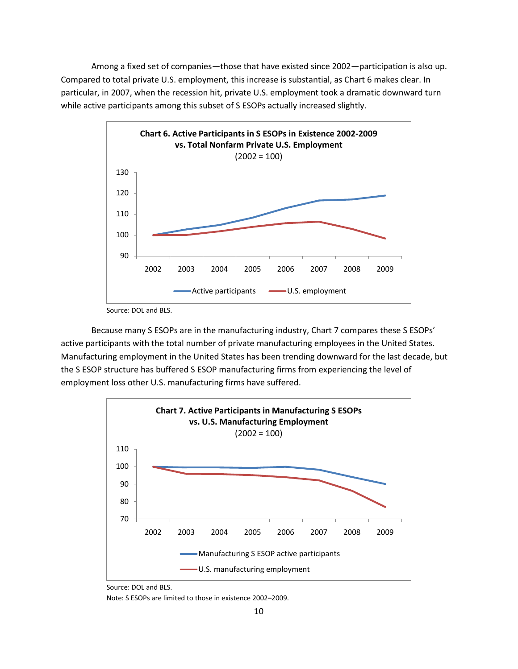Among a fixed set of companies—those that have existed since 2002—participation is also up. Compared to total private U.S. employment, this increase is substantial, as Chart 6 makes clear. In particular, in 2007, when the recession hit, private U.S. employment took a dramatic downward turn while active participants among this subset of S ESOPs actually increased slightly.



Source: DOL and BLS.

Because many S ESOPs are in the manufacturing industry, Chart 7 compares these S ESOPs' active participants with the total number of private manufacturing employees in the United States. Manufacturing employment in the United States has been trending downward for the last decade, but the S ESOP structure has buffered S ESOP manufacturing firms from experiencing the level of employment loss other U.S. manufacturing firms have suffered.



Source: DOL and BLS.

Note: S ESOPs are limited to those in existence 2002–2009.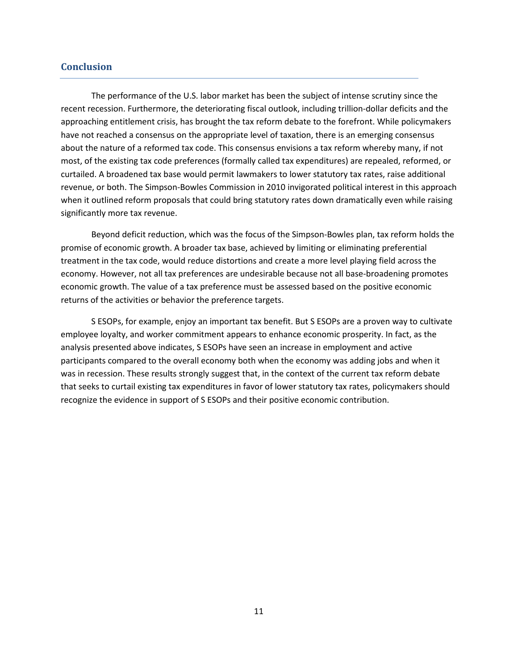# **Conclusion**

The performance of the U.S. labor market has been the subject of intense scrutiny since the recent recession. Furthermore, the deteriorating fiscal outlook, including trillion-dollar deficits and the approaching entitlement crisis, has brought the tax reform debate to the forefront. While policymakers have not reached a consensus on the appropriate level of taxation, there is an emerging consensus about the nature of a reformed tax code. This consensus envisions a tax reform whereby many, if not most, of the existing tax code preferences (formally called tax expenditures) are repealed, reformed, or curtailed. A broadened tax base would permit lawmakers to lower statutory tax rates, raise additional revenue, or both. The Simpson-Bowles Commission in 2010 invigorated political interest in this approach when it outlined reform proposals that could bring statutory rates down dramatically even while raising significantly more tax revenue.

Beyond deficit reduction, which was the focus of the Simpson-Bowles plan, tax reform holds the promise of economic growth. A broader tax base, achieved by limiting or eliminating preferential treatment in the tax code, would reduce distortions and create a more level playing field across the economy. However, not all tax preferences are undesirable because not all base-broadening promotes economic growth. The value of a tax preference must be assessed based on the positive economic returns of the activities or behavior the preference targets.

S ESOPs, for example, enjoy an important tax benefit. But S ESOPs are a proven way to cultivate employee loyalty, and worker commitment appears to enhance economic prosperity. In fact, as the analysis presented above indicates, S ESOPs have seen an increase in employment and active participants compared to the overall economy both when the economy was adding jobs and when it was in recession. These results strongly suggest that, in the context of the current tax reform debate that seeks to curtail existing tax expenditures in favor of lower statutory tax rates, policymakers should recognize the evidence in support of S ESOPs and their positive economic contribution.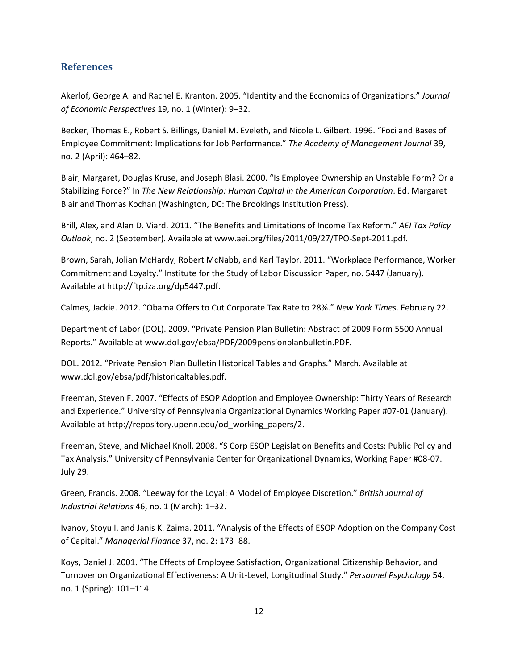## **References**

Akerlof, George A. and Rachel E. Kranton. 2005. "Identity and the Economics of Organizations." *Journal of Economic Perspectives* 19, no. 1 (Winter): 9–32.

Becker, Thomas E., Robert S. Billings, Daniel M. Eveleth, and Nicole L. Gilbert. 1996. "Foci and Bases of Employee Commitment: Implications for Job Performance." *The Academy of Management Journal* 39, no. 2 (April): 464–82.

Blair, Margaret, Douglas Kruse, and Joseph Blasi. 2000. "Is Employee Ownership an Unstable Form? Or a Stabilizing Force?" In *The New Relationship: Human Capital in the American Corporation*. Ed. Margaret Blair and Thomas Kochan (Washington, DC: The Brookings Institution Press).

Brill, Alex, and Alan D. Viard. 2011. "The Benefits and Limitations of Income Tax Reform." *AEI Tax Policy Outlook*, no. 2 (September). Available at www.aei.org/files/2011/09/27/TPO-Sept-2011.pdf.

Brown, Sarah, Jolian McHardy, Robert McNabb, and Karl Taylor. 2011. "Workplace Performance, Worker Commitment and Loyalty." Institute for the Study of Labor Discussion Paper, no. 5447 (January). Available at http://ftp.iza.org/dp5447.pdf.

Calmes, Jackie. 2012. "Obama Offers to Cut Corporate Tax Rate to 28%." *New York Times*. February 22.

Department of Labor (DOL). 2009. "Private Pension Plan Bulletin: Abstract of 2009 Form 5500 Annual Reports." Available at www.dol.gov/ebsa/PDF/2009pensionplanbulletin.PDF.

DOL. 2012. "Private Pension Plan Bulletin Historical Tables and Graphs." March. Available at www.dol.gov/ebsa/pdf/historicaltables.pdf.

Freeman, Steven F. 2007. "Effects of ESOP Adoption and Employee Ownership: Thirty Years of Research and Experience." University of Pennsylvania Organizational Dynamics Working Paper #07-01 (January). Available at http://repository.upenn.edu/od\_working\_papers/2.

Freeman, Steve, and Michael Knoll. 2008. "S Corp ESOP Legislation Benefits and Costs: Public Policy and Tax Analysis." University of Pennsylvania Center for Organizational Dynamics, Working Paper #08-07. July 29.

Green, Francis. 2008. "Leeway for the Loyal: A Model of Employee Discretion." *British Journal of Industrial Relations* 46, no. 1 (March): 1–32.

Ivanov, Stoyu I. and Janis K. Zaima. 2011. "Analysis of the Effects of ESOP Adoption on the Company Cost of Capital." *Managerial Finance* 37, no. 2: 173–88.

Koys, Daniel J. 2001. "The Effects of Employee Satisfaction, Organizational Citizenship Behavior, and Turnover on Organizational Effectiveness: A Unit-Level, Longitudinal Study." *Personnel Psychology* 54, no. 1 (Spring): 101–114.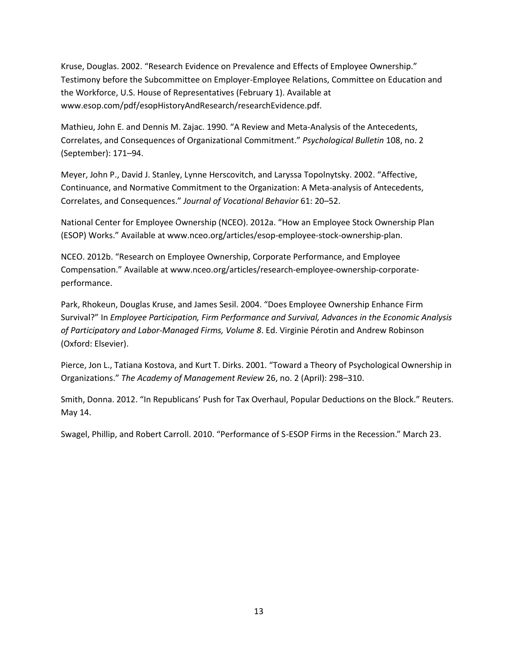Kruse, Douglas. 2002. "Research Evidence on Prevalence and Effects of Employee Ownership." Testimony before the Subcommittee on Employer-Employee Relations, Committee on Education and the Workforce, U.S. House of Representatives (February 1). Available at www.esop.com/pdf/esopHistoryAndResearch/researchEvidence.pdf.

Mathieu, John E. and Dennis M. Zajac. 1990. "A Review and Meta-Analysis of the Antecedents, Correlates, and Consequences of Organizational Commitment." *Psychological Bulletin* 108, no. 2 (September): 171–94.

Meyer, John P., David J. Stanley, Lynne Herscovitch, and Laryssa Topolnytsky. 2002. "Affective, Continuance, and Normative Commitment to the Organization: A Meta-analysis of Antecedents, Correlates, and Consequences." *Journal of Vocational Behavior* 61: 20–52.

National Center for Employee Ownership (NCEO). 2012a. "How an Employee Stock Ownership Plan (ESOP) Works." Available at www.nceo.org/articles/esop-employee-stock-ownership-plan.

NCEO. 2012b. "Research on Employee Ownership, Corporate Performance, and Employee Compensation." Available at www.nceo.org/articles/research-employee-ownership-corporateperformance.

Park, Rhokeun, Douglas Kruse, and James Sesil. 2004. "Does Employee Ownership Enhance Firm Survival?" In *Employee Participation, Firm Performance and Survival, Advances in the Economic Analysis of Participatory and Labor-Managed Firms, Volume 8*. Ed. Virginie Pérotin and Andrew Robinson (Oxford: Elsevier).

Pierce, Jon L., Tatiana Kostova, and Kurt T. Dirks. 2001. "Toward a Theory of Psychological Ownership in Organizations." *The Academy of Management Review* 26, no. 2 (April): 298–310.

Smith, Donna. 2012. "In Republicans' Push for Tax Overhaul, Popular Deductions on the Block." Reuters. May 14.

Swagel, Phillip, and Robert Carroll. 2010. "Performance of S-ESOP Firms in the Recession." March 23.